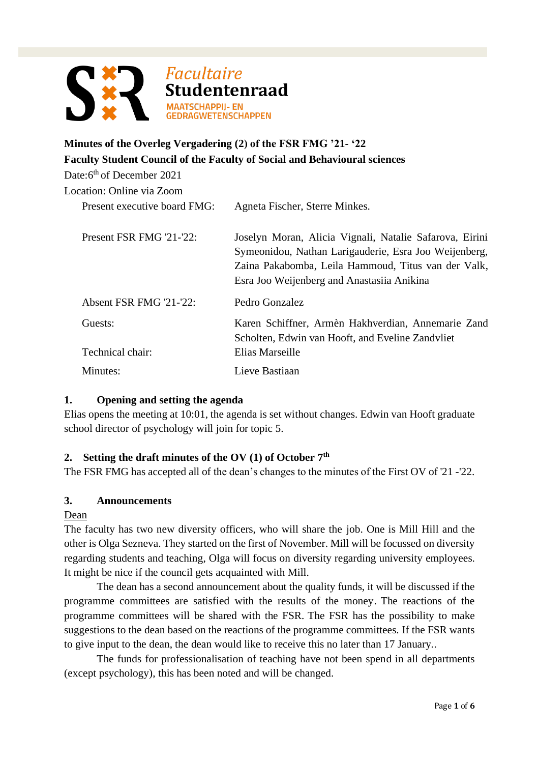

# **Minutes of the Overleg Vergadering (2) of the FSR FMG '21- '22 Faculty Student Council of the Faculty of Social and Behavioural sciences**

Date:6<sup>th</sup> of December 2021

Location: Online via Zoom

| ocation: Online via Zoom     |                                                                                                                                                                                                                       |
|------------------------------|-----------------------------------------------------------------------------------------------------------------------------------------------------------------------------------------------------------------------|
| Present executive board FMG: | Agneta Fischer, Sterre Minkes.                                                                                                                                                                                        |
| Present FSR FMG '21-'22:     | Joselyn Moran, Alicia Vignali, Natalie Safarova, Eirini<br>Symeonidou, Nathan Larigauderie, Esra Joo Weijenberg,<br>Zaina Pakabomba, Leila Hammoud, Titus van der Valk,<br>Esra Joo Weijenberg and Anastasiia Anikina |
| Absent FSR FMG '21-'22:      | Pedro Gonzalez                                                                                                                                                                                                        |
| Guests:                      | Karen Schiffner, Armèn Hakhverdian, Annemarie Zand<br>Scholten, Edwin van Hooft, and Eveline Zandvliet                                                                                                                |
| Technical chair:             | Elias Marseille                                                                                                                                                                                                       |
| Minutes:                     | Lieve Bastiaan                                                                                                                                                                                                        |

## **1. Opening and setting the agenda**

Elias opens the meeting at 10:01, the agenda is set without changes. Edwin van Hooft graduate school director of psychology will join for topic 5.

## **2. Setting the draft minutes of the OV (1) of October 7 th**

The FSR FMG has accepted all of the dean's changes to the minutes of the First OV of '21 -'22.

## **3. Announcements**

Dean

The faculty has two new diversity officers, who will share the job. One is Mill Hill and the other is Olga Sezneva. They started on the first of November. Mill will be focussed on diversity regarding students and teaching, Olga will focus on diversity regarding university employees. It might be nice if the council gets acquainted with Mill.

The dean has a second announcement about the quality funds, it will be discussed if the programme committees are satisfied with the results of the money. The reactions of the programme committees will be shared with the FSR. The FSR has the possibility to make suggestions to the dean based on the reactions of the programme committees. If the FSR wants to give input to the dean, the dean would like to receive this no later than 17 January..

The funds for professionalisation of teaching have not been spend in all departments (except psychology), this has been noted and will be changed.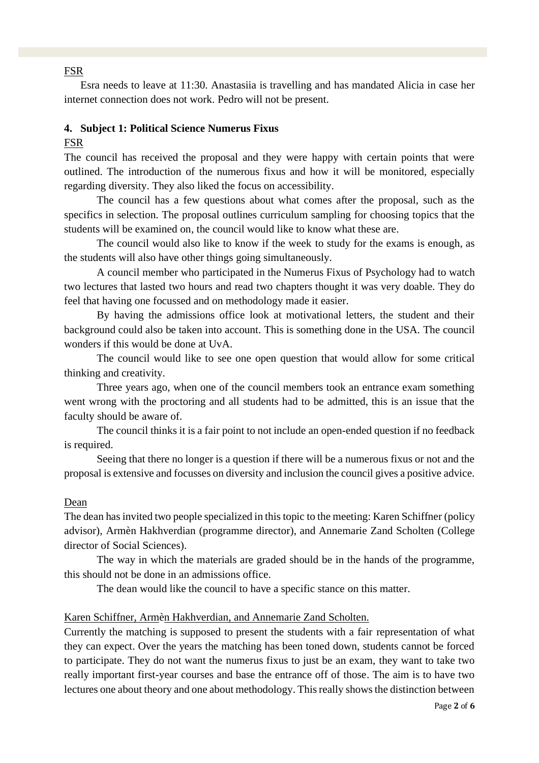## FSR

Esra needs to leave at 11:30. Anastasiia is travelling and has mandated Alicia in case her internet connection does not work. Pedro will not be present.

### **4. Subject 1: Political Science Numerus Fixus**

### FSR

The council has received the proposal and they were happy with certain points that were outlined. The introduction of the numerous fixus and how it will be monitored, especially regarding diversity. They also liked the focus on accessibility.

The council has a few questions about what comes after the proposal, such as the specifics in selection. The proposal outlines curriculum sampling for choosing topics that the students will be examined on, the council would like to know what these are.

The council would also like to know if the week to study for the exams is enough, as the students will also have other things going simultaneously.

A council member who participated in the Numerus Fixus of Psychology had to watch two lectures that lasted two hours and read two chapters thought it was very doable. They do feel that having one focussed and on methodology made it easier.

By having the admissions office look at motivational letters, the student and their background could also be taken into account. This is something done in the USA. The council wonders if this would be done at UvA.

The council would like to see one open question that would allow for some critical thinking and creativity.

Three years ago, when one of the council members took an entrance exam something went wrong with the proctoring and all students had to be admitted, this is an issue that the faculty should be aware of.

The council thinks it is a fair point to not include an open-ended question if no feedback is required.

Seeing that there no longer is a question if there will be a numerous fixus or not and the proposal is extensive and focusses on diversity and inclusion the council gives a positive advice.

#### Dean

The dean has invited two people specialized in this topic to the meeting: Karen Schiffner (policy advisor), Armèn Hakhverdian (programme director), and Annemarie Zand Scholten (College director of Social Sciences).

The way in which the materials are graded should be in the hands of the programme, this should not be done in an admissions office.

The dean would like the council to have a specific stance on this matter.

#### Karen Schiffner, Armèn Hakhverdian, and Annemarie Zand Scholten.

Currently the matching is supposed to present the students with a fair representation of what they can expect. Over the years the matching has been toned down, students cannot be forced to participate. They do not want the numerus fixus to just be an exam, they want to take two really important first-year courses and base the entrance off of those. The aim is to have two lectures one about theory and one about methodology. This really shows the distinction between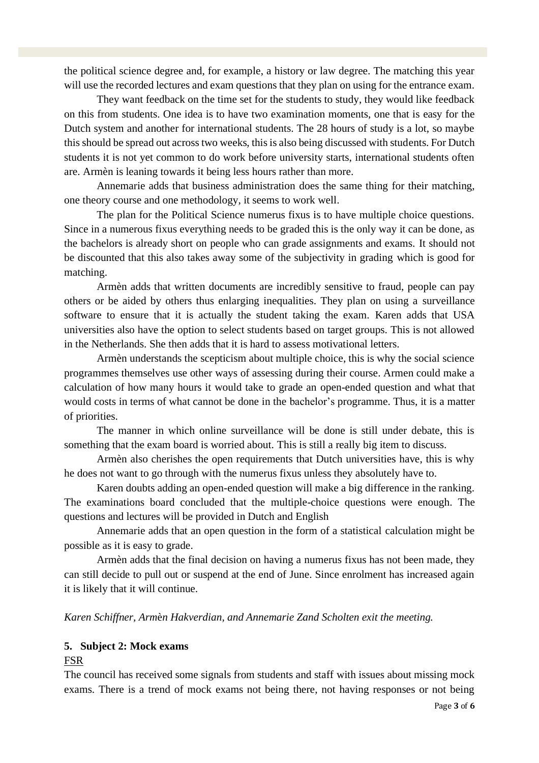the political science degree and, for example, a history or law degree. The matching this year will use the recorded lectures and exam questions that they plan on using for the entrance exam.

They want feedback on the time set for the students to study, they would like feedback on this from students. One idea is to have two examination moments, one that is easy for the Dutch system and another for international students. The 28 hours of study is a lot, so maybe this should be spread out across two weeks, this is also being discussed with students. For Dutch students it is not yet common to do work before university starts, international students often are. Armèn is leaning towards it being less hours rather than more.

Annemarie adds that business administration does the same thing for their matching, one theory course and one methodology, it seems to work well.

The plan for the Political Science numerus fixus is to have multiple choice questions. Since in a numerous fixus everything needs to be graded this is the only way it can be done, as the bachelors is already short on people who can grade assignments and exams. It should not be discounted that this also takes away some of the subjectivity in grading which is good for matching.

Armèn adds that written documents are incredibly sensitive to fraud, people can pay others or be aided by others thus enlarging inequalities. They plan on using a surveillance software to ensure that it is actually the student taking the exam. Karen adds that USA universities also have the option to select students based on target groups. This is not allowed in the Netherlands. She then adds that it is hard to assess motivational letters.

Armèn understands the scepticism about multiple choice, this is why the social science programmes themselves use other ways of assessing during their course. Armen could make a calculation of how many hours it would take to grade an open-ended question and what that would costs in terms of what cannot be done in the bachelor's programme. Thus, it is a matter of priorities.

The manner in which online surveillance will be done is still under debate, this is something that the exam board is worried about. This is still a really big item to discuss.

Armèn also cherishes the open requirements that Dutch universities have, this is why he does not want to go through with the numerus fixus unless they absolutely have to.

Karen doubts adding an open-ended question will make a big difference in the ranking. The examinations board concluded that the multiple-choice questions were enough. The questions and lectures will be provided in Dutch and English

Annemarie adds that an open question in the form of a statistical calculation might be possible as it is easy to grade.

Armèn adds that the final decision on having a numerus fixus has not been made, they can still decide to pull out or suspend at the end of June. Since enrolment has increased again it is likely that it will continue.

*Karen Schiffner, Arm*è*n Hakverdian, and Annemarie Zand Scholten exit the meeting.* 

#### **5. Subject 2: Mock exams**

#### FSR

The council has received some signals from students and staff with issues about missing mock exams. There is a trend of mock exams not being there, not having responses or not being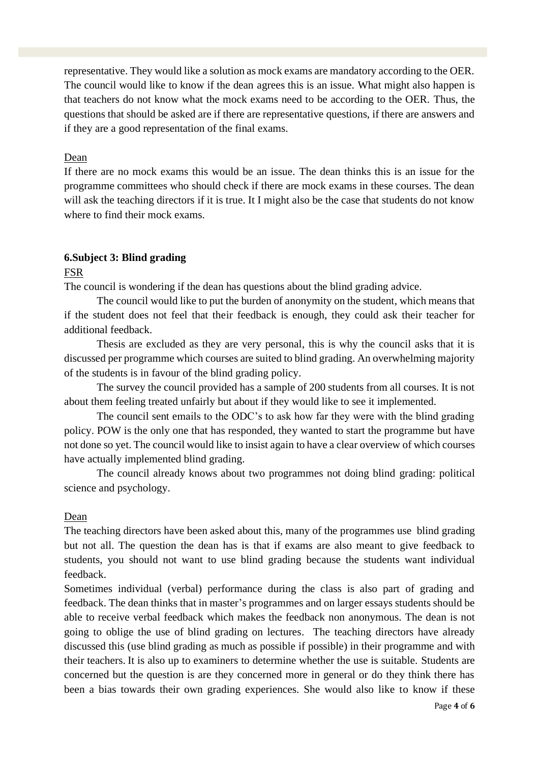representative. They would like a solution as mock exams are mandatory according to the OER. The council would like to know if the dean agrees this is an issue. What might also happen is that teachers do not know what the mock exams need to be according to the OER. Thus, the questions that should be asked are if there are representative questions, if there are answers and if they are a good representation of the final exams.

## Dean

If there are no mock exams this would be an issue. The dean thinks this is an issue for the programme committees who should check if there are mock exams in these courses. The dean will ask the teaching directors if it is true. It I might also be the case that students do not know where to find their mock exams.

## **6.Subject 3: Blind grading**

#### FSR

The council is wondering if the dean has questions about the blind grading advice.

The council would like to put the burden of anonymity on the student, which means that if the student does not feel that their feedback is enough, they could ask their teacher for additional feedback.

Thesis are excluded as they are very personal, this is why the council asks that it is discussed per programme which courses are suited to blind grading. An overwhelming majority of the students is in favour of the blind grading policy.

The survey the council provided has a sample of 200 students from all courses. It is not about them feeling treated unfairly but about if they would like to see it implemented.

The council sent emails to the ODC's to ask how far they were with the blind grading policy. POW is the only one that has responded, they wanted to start the programme but have not done so yet. The council would like to insist again to have a clear overview of which courses have actually implemented blind grading.

The council already knows about two programmes not doing blind grading: political science and psychology.

## Dean

The teaching directors have been asked about this, many of the programmes use blind grading but not all. The question the dean has is that if exams are also meant to give feedback to students, you should not want to use blind grading because the students want individual feedback.

Sometimes individual (verbal) performance during the class is also part of grading and feedback. The dean thinks that in master's programmes and on larger essays students should be able to receive verbal feedback which makes the feedback non anonymous. The dean is not going to oblige the use of blind grading on lectures. The teaching directors have already discussed this (use blind grading as much as possible if possible) in their programme and with their teachers. It is also up to examiners to determine whether the use is suitable. Students are concerned but the question is are they concerned more in general or do they think there has been a bias towards their own grading experiences. She would also like to know if these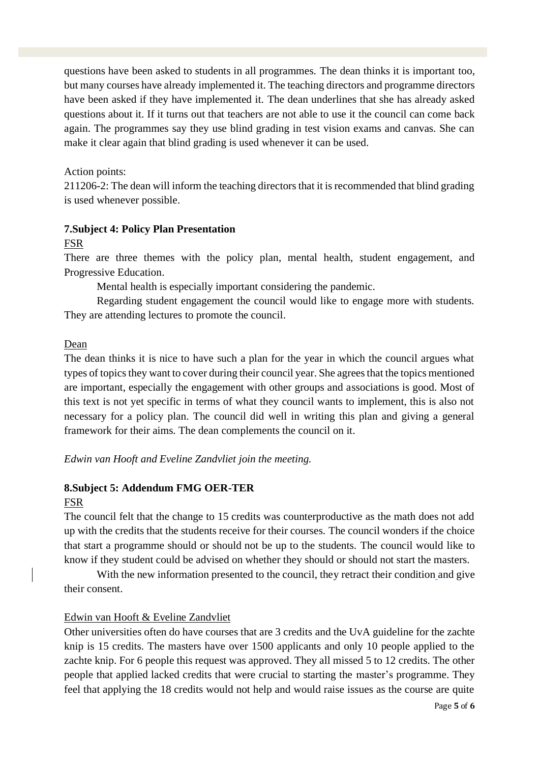questions have been asked to students in all programmes. The dean thinks it is important too, but many courses have already implemented it. The teaching directors and programme directors have been asked if they have implemented it. The dean underlines that she has already asked questions about it. If it turns out that teachers are not able to use it the council can come back again. The programmes say they use blind grading in test vision exams and canvas. She can make it clear again that blind grading is used whenever it can be used.

## Action points:

211206-2: The dean will inform the teaching directors that it is recommended that blind grading is used whenever possible.

## **7.Subject 4: Policy Plan Presentation**

## FSR

There are three themes with the policy plan, mental health, student engagement, and Progressive Education.

Mental health is especially important considering the pandemic.

Regarding student engagement the council would like to engage more with students. They are attending lectures to promote the council.

## Dean

The dean thinks it is nice to have such a plan for the year in which the council argues what types of topics they want to cover during their council year. She agrees that the topics mentioned are important, especially the engagement with other groups and associations is good. Most of this text is not yet specific in terms of what they council wants to implement, this is also not necessary for a policy plan. The council did well in writing this plan and giving a general framework for their aims. The dean complements the council on it.

## *Edwin van Hooft and Eveline Zandvliet join the meeting.*

## **8.Subject 5: Addendum FMG OER-TER**

#### FSR

The council felt that the change to 15 credits was counterproductive as the math does not add up with the credits that the students receive for their courses. The council wonders if the choice that start a programme should or should not be up to the students. The council would like to know if they student could be advised on whether they should or should not start the masters.

With the new information presented to the council, they retract their condition and give their consent.

## Edwin van Hooft & Eveline Zandvliet

Other universities often do have courses that are 3 credits and the UvA guideline for the zachte knip is 15 credits. The masters have over 1500 applicants and only 10 people applied to the zachte knip. For 6 people this request was approved. They all missed 5 to 12 credits. The other people that applied lacked credits that were crucial to starting the master's programme. They feel that applying the 18 credits would not help and would raise issues as the course are quite